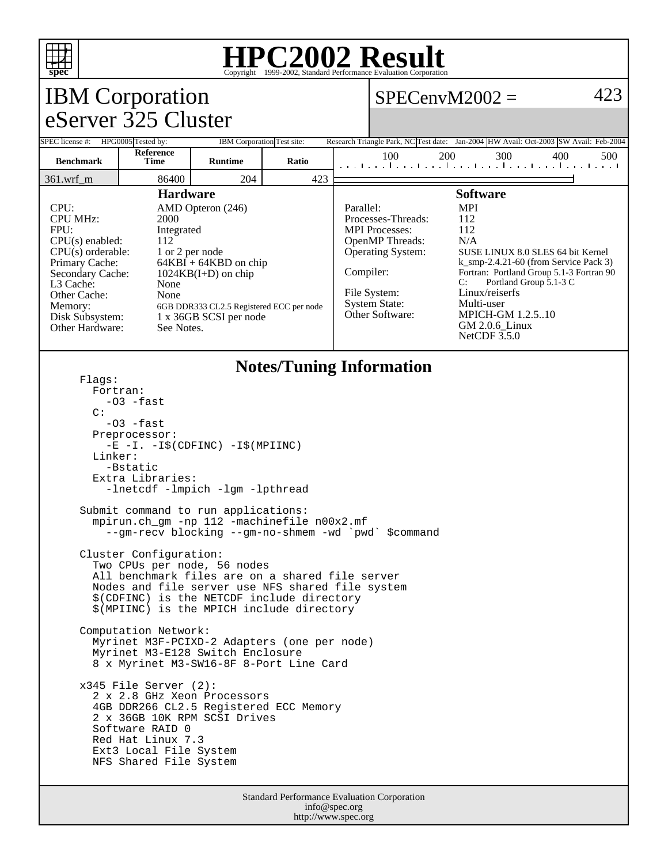

## **HPC2002 Result**

| <b>IBM</b> Corporation                                                                                                                                                                                                                                                                                                                                                                                                                         |                                                                                                                                                                                                                                                                         |                            |       |  | 423<br>$SPECenvM2002 =$                                                                                                                                                                                                                                                                                                                                                                                                                                                                            |     |     |     |     |
|------------------------------------------------------------------------------------------------------------------------------------------------------------------------------------------------------------------------------------------------------------------------------------------------------------------------------------------------------------------------------------------------------------------------------------------------|-------------------------------------------------------------------------------------------------------------------------------------------------------------------------------------------------------------------------------------------------------------------------|----------------------------|-------|--|----------------------------------------------------------------------------------------------------------------------------------------------------------------------------------------------------------------------------------------------------------------------------------------------------------------------------------------------------------------------------------------------------------------------------------------------------------------------------------------------------|-----|-----|-----|-----|
| eServer 325 Cluster                                                                                                                                                                                                                                                                                                                                                                                                                            |                                                                                                                                                                                                                                                                         |                            |       |  |                                                                                                                                                                                                                                                                                                                                                                                                                                                                                                    |     |     |     |     |
| SPEC license #: HPG0005 Tested by:                                                                                                                                                                                                                                                                                                                                                                                                             |                                                                                                                                                                                                                                                                         | IBM Corporation Test site: |       |  | Research Triangle Park, NC Test date: Jan-2004 HW Avail: Oct-2003 SW Avail: Feb-2004                                                                                                                                                                                                                                                                                                                                                                                                               |     |     |     |     |
| <b>Benchmark</b>                                                                                                                                                                                                                                                                                                                                                                                                                               | Reference<br>Time                                                                                                                                                                                                                                                       | <b>Runtime</b>             | Ratio |  | 100<br>المتحا وتطاعيها وتطاعيها وتوأ وتواجدت أأحتوا                                                                                                                                                                                                                                                                                                                                                                                                                                                | 200 | 300 | 400 | 500 |
| 86400<br>204<br>423<br>361.wrf_m                                                                                                                                                                                                                                                                                                                                                                                                               |                                                                                                                                                                                                                                                                         |                            |       |  |                                                                                                                                                                                                                                                                                                                                                                                                                                                                                                    |     |     |     |     |
| <b>Hardware</b><br>CPU:<br>AMD Opteron (246)<br><b>CPU MHz:</b><br>2000<br>FPII:<br>Integrated<br>CPU(s) enabled:<br>112<br>$CPU(s)$ orderable:<br>1 or 2 per node<br>Primary Cache:<br>$64KBI + 64KBD$ on chip<br>Secondary Cache:<br>$1024KB(I+D)$ on chip<br>L3 Cache:<br>None<br>None<br>Other Cache:<br>Memory:<br>6GB DDR333 CL2.5 Registered ECC per node<br>1 x 36GB SCSI per node<br>Disk Subsystem:<br>Other Hardware:<br>See Notes. |                                                                                                                                                                                                                                                                         |                            |       |  | <b>Software</b><br><b>MPI</b><br>Parallel:<br>Processes-Threads:<br>112<br>112<br><b>MPI</b> Processes:<br>OpenMP Threads:<br>N/A<br><b>Operating System:</b><br>SUSE LINUX 8.0 SLES 64 bit Kernel<br>$k$ _smp-2.4.21-60 (from Service Pack 3)<br>Compiler:<br>Fortran: Portland Group 5.1-3 Fortran 90<br>C:<br>Portland Group 5.1-3 C<br>Linux/reiserfs<br>File System:<br>Multi-user<br><b>System State:</b><br>Other Software:<br><b>MPICH-GM 1.2.5.10</b><br>GM 2.0.6_Linux<br>NetCDF $3.5.0$ |     |     |     |     |
| <b>Notes/Tuning Information</b><br>Flaqs:<br>Fortran:<br>-03 -fast<br>$\mathcal{C}$ :<br>$-03$ -fast<br>Preprocessor:<br>$-E$ $-I. -I\$ (CDFINC) $-I\$ (MPIINC)<br>Linker:<br>-Bstatic<br>Extra Libraries:                                                                                                                                                                                                                                     |                                                                                                                                                                                                                                                                         |                            |       |  |                                                                                                                                                                                                                                                                                                                                                                                                                                                                                                    |     |     |     |     |
| -lnetcdf -lmpich -lgm -lpthread<br>Submit command to run applications:<br>mpirun.ch_gm -np 112 -machinefile n00x2.mf<br>--gm-recv blocking --gm-no-shmem -wd `pwd`<br><i>Scommand</i>                                                                                                                                                                                                                                                          |                                                                                                                                                                                                                                                                         |                            |       |  |                                                                                                                                                                                                                                                                                                                                                                                                                                                                                                    |     |     |     |     |
| Cluster Configuration:<br>Two CPUs per node, 56 nodes<br>All benchmark files are on a shared file server<br>Nodes and file server use NFS shared file system<br>\$(CDFINC) is the NETCDF include directory<br>\$(MPIINC) is the MPICH include directory<br>Computation Network:<br>Myrinet M3F-PCIXD-2 Adapters (one per node)<br>Myrinet M3-E128 Switch Enclosure                                                                             |                                                                                                                                                                                                                                                                         |                            |       |  |                                                                                                                                                                                                                                                                                                                                                                                                                                                                                                    |     |     |     |     |
|                                                                                                                                                                                                                                                                                                                                                                                                                                                | 8 x Myrinet M3-SW16-8F 8-Port Line Card<br>$x345$ File Server (2):<br>2 x 2.8 GHz Xeon Processors<br>4GB DDR266 CL2.5 Registered ECC Memory<br>2 x 36GB 10K RPM SCSI Drives<br>Software RAID 0<br>Red Hat Linux 7.3<br>Ext3 Local File System<br>NFS Shared File System |                            |       |  |                                                                                                                                                                                                                                                                                                                                                                                                                                                                                                    |     |     |     |     |
| Standard Performance Evaluation Corporation                                                                                                                                                                                                                                                                                                                                                                                                    |                                                                                                                                                                                                                                                                         |                            |       |  |                                                                                                                                                                                                                                                                                                                                                                                                                                                                                                    |     |     |     |     |

info@spec.org http://www.spec.org